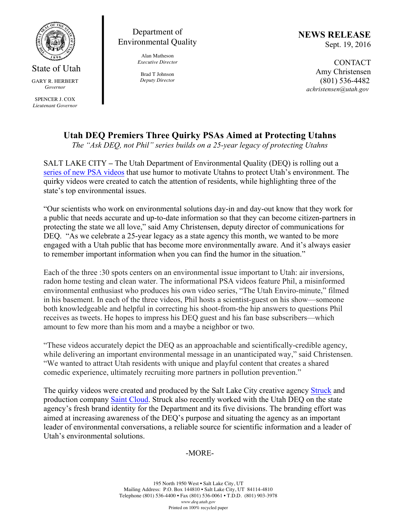

State of Utah GARY R. HERBERT *Governor* SPENCER J. COX *Lieutenant Governor*

Department of Environmental Quality

> Alan Matheson *Executive Director*

Brad T Johnson *Deputy Director* **NEWS RELEASE** Sept. 19, 2016

> CONTACT Amy Christensen (801) 536-4482  *achristensen@utah.gov*

## **Utah DEQ Premiers Three Quirky PSAs Aimed at Protecting Utahns**

*The "Ask DEQ, not Phil" series builds on a 25-year legacy of protecting Utahns*

SALT LAKE CITY **–** The Utah Department of Environmental Quality (DEQ) is rolling out a series of new PSA videos that use humor to motivate Utahns to protect Utah's environment. The quirky videos were created to catch the attention of residents, while highlighting three of the state's top environmental issues.

"Our scientists who work on environmental solutions day-in and day-out know that they work for a public that needs accurate and up-to-date information so that they can become citizen-partners in protecting the state we all love," said Amy Christensen, deputy director of communications for DEQ. "As we celebrate a 25-year legacy as a state agency this month, we wanted to be more engaged with a Utah public that has become more environmentally aware. And it's always easier to remember important information when you can find the humor in the situation."

Each of the three :30 spots centers on an environmental issue important to Utah: air inversions, radon home testing and clean water. The informational PSA videos feature Phil, a misinformed environmental enthusiast who produces his own video series, "The Utah Enviro-minute," filmed in his basement. In each of the three videos, Phil hosts a scientist-guest on his show—someone both knowledgeable and helpful in correcting his shoot-from-the hip answers to questions Phil receives as tweets. He hopes to impress his DEQ guest and his fan base subscribers—which amount to few more than his mom and a maybe a neighbor or two.

"These videos accurately depict the DEQ as an approachable and scientifically-credible agency, while delivering an important environmental message in an unanticipated way," said Christensen. "We wanted to attract Utah residents with unique and playful content that creates a shared comedic experience, ultimately recruiting more partners in pollution prevention."

The quirky videos were created and produced by the Salt Lake City creative agency Struck and production company Saint Cloud. Struck also recently worked with the Utah DEQ on the state agency's fresh brand identity for the Department and its five divisions. The branding effort was aimed at increasing awareness of the DEQ's purpose and situating the agency as an important leader of environmental conversations, a reliable source for scientific information and a leader of Utah's environmental solutions.

## -MORE-